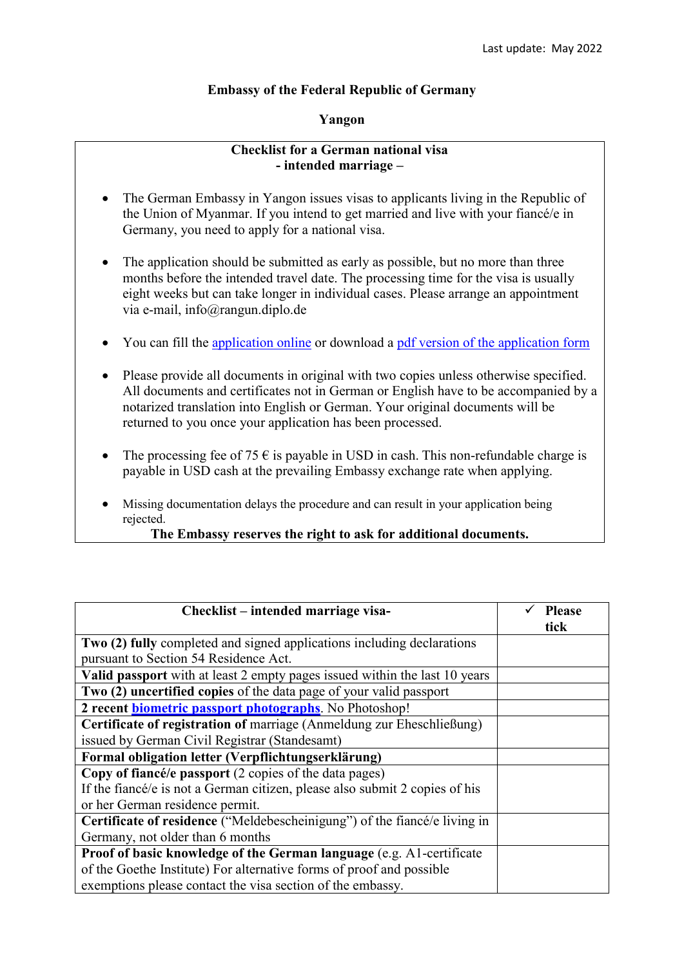## **Embassy of the Federal Republic of Germany**

## **Yangon**

## **Checklist for a German national visa - intended marriage –**

- The German Embassy in Yangon issues visas to applicants living in the Republic of the Union of Myanmar. If you intend to get married and live with your fiancé/e in Germany, you need to apply for a national visa.
- The application should be submitted as early as possible, but no more than three months before the intended travel date. The processing time for the visa is usually eight weeks but can take longer in individual cases. Please arrange an appointment via e-mail, info@rangun.diplo.de
- You can fill the [application online](https://videx-national.diplo.de/videx/visum-erfassung/#/videx-langfristiger-aufenthalt) or download a [pdf version of the application form](https://rangun.diplo.de/blob/1673600/2a17cac760469832eddb69af5455d3c9/neuer-inhalt-data.pdf)
- Please provide all documents in original with two copies unless otherwise specified. All documents and certificates not in German or English have to be accompanied by a notarized translation into English or German. Your original documents will be returned to you once your application has been processed.
- The processing fee of 75  $\epsilon$  is payable in USD in cash. This non-refundable charge is payable in USD cash at the prevailing Embassy exchange rate when applying.
- Missing documentation delays the procedure and can result in your application being rejected.

## **The Embassy reserves the right to ask for additional documents.**

| Checklist – intended marriage visa-                                         | <b>Please</b><br>tick |
|-----------------------------------------------------------------------------|-----------------------|
| Two (2) fully completed and signed applications including declarations      |                       |
| pursuant to Section 54 Residence Act.                                       |                       |
| Valid passport with at least 2 empty pages issued within the last 10 years  |                       |
| Two (2) uncertified copies of the data page of your valid passport          |                       |
| 2 recent <b>biometric passport photographs</b> . No Photoshop!              |                       |
| Certificate of registration of marriage (Anmeldung zur Eheschließung)       |                       |
| issued by German Civil Registrar (Standesamt)                               |                       |
| Formal obligation letter (Verpflichtungserklärung)                          |                       |
| Copy of fiancé/e passport (2 copies of the data pages)                      |                       |
| If the fiance/e is not a German citizen, please also submit 2 copies of his |                       |
| or her German residence permit.                                             |                       |
| Certificate of residence ("Meldebescheinigung") of the fiance/e living in   |                       |
| Germany, not older than 6 months                                            |                       |
| Proof of basic knowledge of the German language (e.g. A1-certificate        |                       |
| of the Goethe Institute) For alternative forms of proof and possible        |                       |
| exemptions please contact the visa section of the embassy.                  |                       |